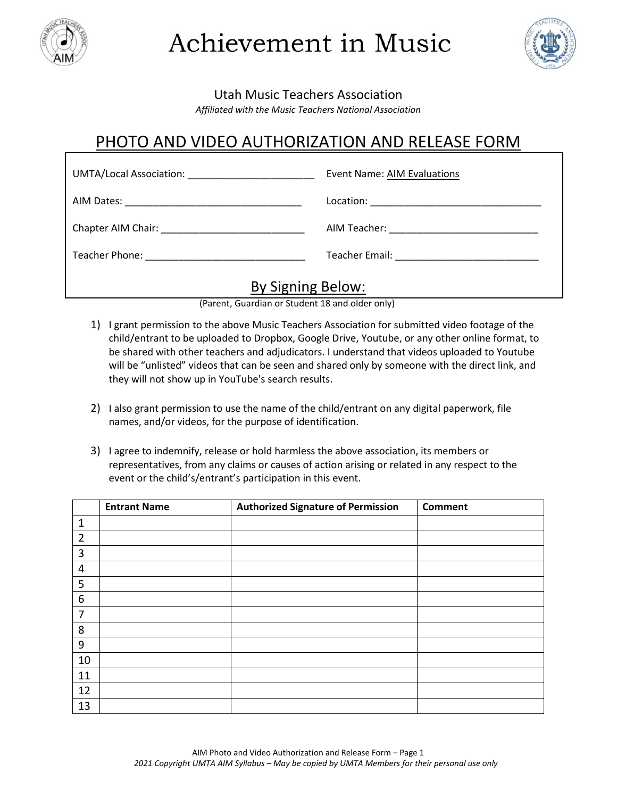

Achievement in Music



Utah Music Teachers Association

*Affiliated with the Music Teachers National Association*

## PHOTO AND VIDEO AUTHORIZATION AND RELEASE FORM

| <b>Event Name: AIM Evaluations</b>                     |
|--------------------------------------------------------|
|                                                        |
|                                                        |
| Teacher Email: <u>________________________________</u> |
| - 1                                                    |

## By Signing Below:

(Parent, Guardian or Student 18 and older only)

- 1) I grant permission to the above Music Teachers Association for submitted video footage of the child/entrant to be uploaded to Dropbox, Google Drive, Youtube, or any other online format, to be shared with other teachers and adjudicators. I understand that videos uploaded to Youtube will be "unlisted" videos that can be seen and shared only by someone with the direct link, and they will not show up in YouTube's search results.
- 2) I also grant permission to use the name of the child/entrant on any digital paperwork, file names, and/or videos, for the purpose of identification.
- 3) I agree to indemnify, release or hold harmless the above association, its members or representatives, from any claims or causes of action arising or related in any respect to the event or the child's/entrant's participation in this event.

|                | <b>Entrant Name</b> | <b>Authorized Signature of Permission</b> | <b>Comment</b> |
|----------------|---------------------|-------------------------------------------|----------------|
| 1              |                     |                                           |                |
| $\overline{2}$ |                     |                                           |                |
| 3              |                     |                                           |                |
| 4              |                     |                                           |                |
| 5              |                     |                                           |                |
| 6              |                     |                                           |                |
| 7              |                     |                                           |                |
| 8              |                     |                                           |                |
| 9              |                     |                                           |                |
| 10             |                     |                                           |                |
| 11             |                     |                                           |                |
| 12             |                     |                                           |                |
| 13             |                     |                                           |                |